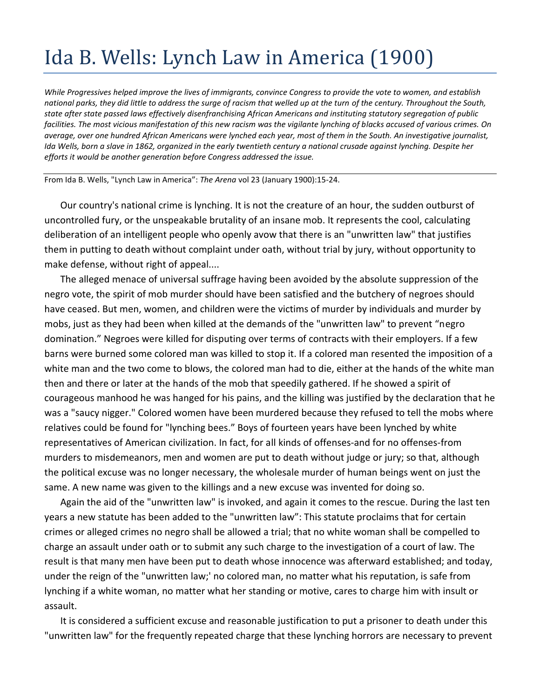## Ida B. Wells: Lynch Law in America (1900)

*While Progressives helped improve the lives of immigrants, convince Congress to provide the vote to women, and establish national parks, they did little to address the surge of racism that welled up at the turn of the century. Throughout the South, state after state passed laws effectively disenfranchising African Americans and instituting statutory segregation of public facilities. The most vicious manifestation of this new racism was the vigilante lynching of blacks accused of various crimes. On average, over one hundred African Americans were lynched each year, most of them in the South. An investigative journalist, Ida Wells, born a slave in 1862, organized in the early twentieth century a national crusade against lynching. Despite her efforts it would be another generation before Congress addressed the issue.* 

From Ida B. Wells, "Lynch Law in America": *The Arena* vol 23 (January 1900):15-24.

Our country's national crime is lynching. It is not the creature of an hour, the sudden outburst of uncontrolled fury, or the unspeakable brutality of an insane mob. It represents the cool, calculating deliberation of an intelligent people who openly avow that there is an "unwritten law" that justifies them in putting to death without complaint under oath, without trial by jury, without opportunity to make defense, without right of appeal....

The alleged menace of universal suffrage having been avoided by the absolute suppression of the negro vote, the spirit of mob murder should have been satisfied and the butchery of negroes should have ceased. But men, women, and children were the victims of murder by individuals and murder by mobs, just as they had been when killed at the demands of the "unwritten law" to prevent "negro domination." Negroes were killed for disputing over terms of contracts with their employers. If a few barns were burned some colored man was killed to stop it. If a colored man resented the imposition of a white man and the two come to blows, the colored man had to die, either at the hands of the white man then and there or later at the hands of the mob that speedily gathered. If he showed a spirit of courageous manhood he was hanged for his pains, and the killing was justified by the declaration that he was a "saucy nigger." Colored women have been murdered because they refused to tell the mobs where relatives could be found for "lynching bees." Boys of fourteen years have been lynched by white representatives of American civilization. In fact, for all kinds of offenses-and for no offenses-from murders to misdemeanors, men and women are put to death without judge or jury; so that, although the political excuse was no longer necessary, the wholesale murder of human beings went on just the same. A new name was given to the killings and a new excuse was invented for doing so.

Again the aid of the "unwritten law" is invoked, and again it comes to the rescue. During the last ten years a new statute has been added to the "unwritten law": This statute proclaims that for certain crimes or alleged crimes no negro shall be allowed a trial; that no white woman shall be compelled to charge an assault under oath or to submit any such charge to the investigation of a court of law. The result is that many men have been put to death whose innocence was afterward established; and today, under the reign of the "unwritten law;' no colored man, no matter what his reputation, is safe from lynching if a white woman, no matter what her standing or motive, cares to charge him with insult or assault.

It is considered a sufficient excuse and reasonable justification to put a prisoner to death under this "unwritten law" for the frequently repeated charge that these lynching horrors are necessary to prevent